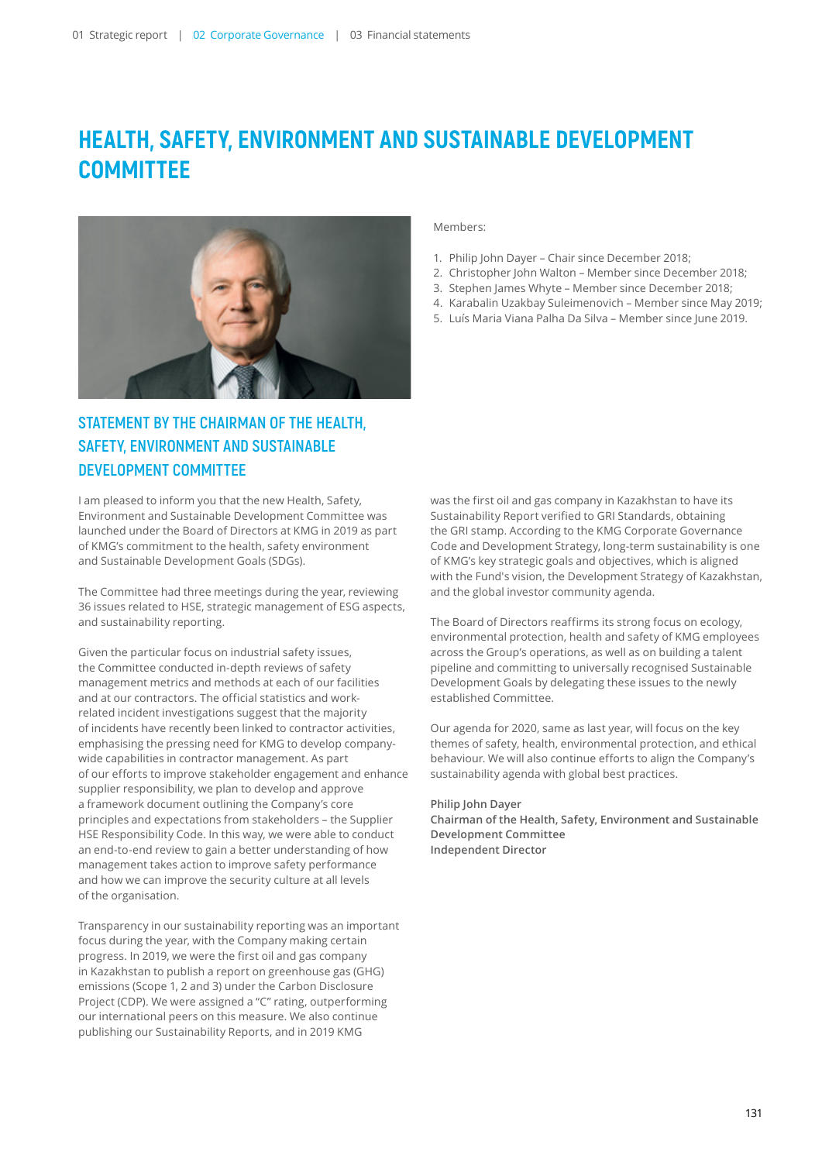# **HEALTH, SAFETY, ENVIRONMENT AND SUSTAINABLE DEVELOPMENT COMMITTEE**



# **STATEMENT BY THE CHAIRMAN OF THE HEALTH, SAFETY, ENVIRONMENT AND SUSTAINABLE DEVELOPMENT COMMITTEE**

I am pleased to inform you that the new Health, Safety, Environment and Sustainable Development Committee was launched under the Board of Directors at KMG in 2019 as part of KMG's commitment to the health, safety environment and Sustainable Development Goals (SDGs).

The Committee had three meetings during the year, reviewing 36 issues related to HSE, strategic management of ESG aspects, and sustainability reporting.

Given the particular focus on industrial safety issues, the Committee conducted in-depth reviews of safety management metrics and methods at each of our facilities and at our contractors. The official statistics and workrelated incident investigations suggest that the majority of incidents have recently been linked to contractor activities, emphasising the pressing need for KMG to develop companywide capabilities in contractor management. As part of our efforts to improve stakeholder engagement and enhance supplier responsibility, we plan to develop and approve a framework document outlining the Company's core principles and expectations from stakeholders – the Supplier HSE Responsibility Code. In this way, we were able to conduct an end-to-end review to gain a better understanding of how management takes action to improve safety performance and how we can improve the security culture at all levels of the organisation.

Transparency in our sustainability reporting was an important focus during the year, with the Company making certain progress. In 2019, we were the first oil and gas company in Kazakhstan to publish a report on greenhouse gas (GHG) emissions (Scope 1, 2 and 3) under the Carbon Disclosure Project (CDP). We were assigned a "C" rating, outperforming our international peers on this measure. We also continue publishing our Sustainability Reports, and in 2019 KMG

#### Members:

- 1. Philip John Dayer Chair since December 2018;
- 2. Christopher John Walton Member since December 2018;
- 3. Stephen James Whyte Member since December 2018;
- 4. Karabalin Uzakbay Suleimenovich Member since May 2019;
- 5. Luís Maria Viana Palha Da Silva Member since June 2019.

was the first oil and gas company in Kazakhstan to have its Sustainability Report verified to GRI Standards, obtaining the GRI stamp. According to the KMG Corporate Governance Code and Development Strategy, long-term sustainability is one of KMG's key strategic goals and objectives, which is aligned with the Fund's vision, the Development Strategy of Kazakhstan, and the global investor community agenda.

The Board of Directors reaffirms its strong focus on ecology, environmental protection, health and safety of KMG employees across the Group's operations, as well as on building a talent pipeline and committing to universally recognised Sustainable Development Goals by delegating these issues to the newly established Committee.

Our agenda for 2020, same as last year, will focus on the key themes of safety, health, environmental protection, and ethical behaviour. We will also continue efforts to align the Company's sustainability agenda with global best practices.

#### **Philip John Dayer**

**Chairman of the Health, Safety, Environment and Sustainable Development Committee Independent Director**